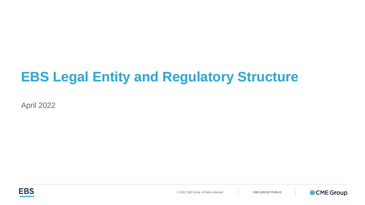## **EBS Legal Entity and Regulatory Structure**

April 2022



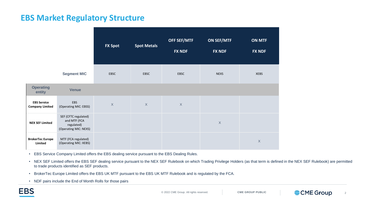## **EBS Market Regulatory Structure**

|                                              |                                                                             | <b>FX Spot</b> | <b>Spot Metals</b> | <b>OFF SEF/MTF</b><br><b>FX NDF</b> | <b>ON SEF/MTF</b><br><b>FX NDF</b> | <b>ON MTF</b><br><b>FX NDF</b> |
|----------------------------------------------|-----------------------------------------------------------------------------|----------------|--------------------|-------------------------------------|------------------------------------|--------------------------------|
|                                              | <b>Segment MIC</b>                                                          | <b>EBSC</b>    | <b>EBSC</b>        | <b>EBSC</b>                         | <b>NEXS</b>                        | <b>XEBS</b>                    |
| <b>Operating</b><br>entity                   | <b>Venue</b>                                                                |                |                    |                                     |                                    |                                |
| <b>EBS Service</b><br><b>Company Limited</b> | EBS<br>(Operating MIC: EBSS)                                                | $\mathsf X$    | $\mathsf X$        | $\mathsf X$                         |                                    |                                |
| <b>NEX SEF Limited</b>                       | SEF (CFTC regulated)<br>and MTF (FCA<br>regulated)<br>(Operating MIC: NEXS) |                |                    |                                     | $\mathsf X$                        |                                |
| <b>BrokerTec Europe</b><br>Limited           | MTF (FCA regulated)<br>(Operating MIC: XEBS)                                |                |                    |                                     |                                    | $\mathsf X$                    |

- EBS Service Company Limited offers the EBS dealing service pursuant to the EBS Dealing Rules.
- NEX SEF Limited offers the EBS SEF dealing service pursuant to the NEX SEF Rulebook on which Trading Privilege Holders (as that term is defined in the NEX SEF Rulebook) are permitted to trade products identified as SEF products.
- BrokerTec Europe Limited offers the EBS UK MTF pursuant to the EBS UK MTF Rulebook and is regulated by the FCA.
- NDF pairs include the End of Month Rolls for those pairs

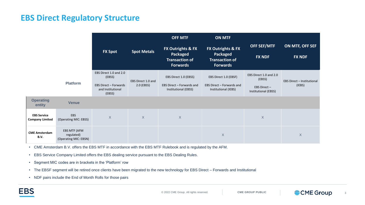## **EBS Direct Regulatory Structure**

|                                              |                                                     |                                                                                                 |                                  | <b>OFF MTF</b><br><b>ON MTF</b>                                            |                                                                            |                                                                         |                                             |
|----------------------------------------------|-----------------------------------------------------|-------------------------------------------------------------------------------------------------|----------------------------------|----------------------------------------------------------------------------|----------------------------------------------------------------------------|-------------------------------------------------------------------------|---------------------------------------------|
|                                              |                                                     | <b>FX Spot</b>                                                                                  | <b>Spot Metals</b>               | FX Outrights & FX<br>Packaged<br><b>Transaction of</b><br><b>Forwards</b>  | FX Outrights & FX<br>Packaged<br><b>Transaction of</b><br><b>Forwards</b>  | <b>OFF SEF/MTF</b><br><b>FX NDF</b>                                     | ON MTF, OFF SEF<br><b>FX NDF</b>            |
|                                              | <b>Platform</b>                                     | EBS Direct 1.0 and 2.0<br>(EBSS)<br><b>EBS Direct - Forwards</b><br>and Institutional<br>(EBSS) | EBS Direct 1.0 and<br>2.0 (EBSS) | EBS Direct 1.0 (EBSS)<br>EBS Direct - Forwards and<br>Institutional (EBSS) | EBS Direct 1.0 (EBSF)<br>EBS Direct - Forwards and<br>Institutional (IEBS) | EBS Direct 1.0 and 2.0<br>(EBSS)<br>EBS Direct-<br>Institutional (EBSS) | <b>EBS Direct - Institutional</b><br>(IEBS) |
| <b>Operating</b><br>entity                   | <b>Venue</b>                                        |                                                                                                 |                                  |                                                                            |                                                                            |                                                                         |                                             |
| <b>EBS Service</b><br><b>Company Limited</b> | EBS<br>(Operating MIC: EBSS)                        | $\mathsf X$                                                                                     | $\mathsf{X}$                     | $\mathsf X$                                                                |                                                                            | $\mathsf X$                                                             |                                             |
| <b>CME Amsterdam</b><br>B.V.                 | EBS MTF (AFM<br>regulated)<br>(Operating MIC: EBSN) |                                                                                                 |                                  |                                                                            | $\mathsf X$                                                                |                                                                         | X                                           |

• CME Amsterdam B.V. offers the EBS MTF in accordance with the EBS MTF Rulebook and is regulated by the AFM.

- EBS Service Company Limited offers the EBS dealing service pursuant to the EBS Dealing Rules.
- Segment MIC codes are in brackets in the 'Platform' row
- The EBSF segment will be retired once clients have been migrated to the new technology for EBS Direct Forwards and Institutional
- NDF pairs include the End of Month Rolls for those pairs